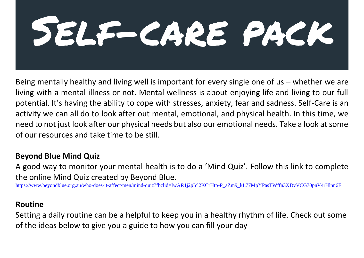# SELE-CARE PACK

Being mentally healthy and living well is important for every single one of us – whether we are living with a mental illness or not. Mental wellness is about enjoying life and living to our full potential. It's having the ability to cope with stresses, anxiety, fear and sadness. Self-Care is an activity we can all do to look after out mental, emotional, and physical health. In this time, we need to not just look after our physical needs but also our emotional needs. Take a look at some of our resources and take time to be still.

#### **Beyond Blue Mind Quiz**

A good way to monitor your mental health is to do a 'Mind Quiz'. Follow this link to complete the online Mind Quiz created by Beyond Blue.

https://www.beyondblue.org.au/who-does-it-affect/men/mind-quiz?fbclid=IwAR1i2pIcl2KCrHtp-P\_aZm9\_kL77MpYPasTWffn3XDvVCG70pnV4rHlnn6E

#### **Routine**

Setting a daily routine can be a helpful to keep you in a healthy rhythm of life. Check out some of the ideas below to give you a guide to how you can fill your day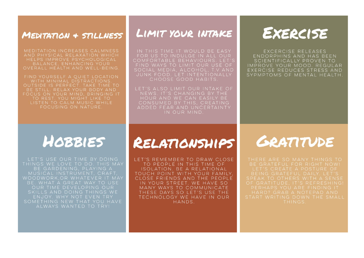#### MEDITATION + STILLNESS

MEDITATION INCREASES CALMNESS HELPS IMPROVE PSYCHOLOGICAL BALANCE, ENHANCING YOUR

FIND YOURSELF A QUIET LOCATION WITH MINIMAL DISTRACTIONS. OUTSIDE IS PERFECT. TAKE TIME TO BE STILL. RELAX YOUR BODY AND FOCUS ON YOUR MIND. BRINGING IT TO REST. YOU MIGHT LIKE TO LISTEN TO CALM MUSIC WHILE FOCUSING ON NATURE

### LIMIT YOUR INTAKE

IN THIS TIME IT WOULD BE EASY FOR US TO INDULGE IN ALL OUR COMFORTABLE BEHAVIOURS, LET'S FIND WAYS TO LIMIT OUR USE OF SOCIAL MEDIA, ALCOHOL, T.V AND JUNK FOOD. LET INTENTIONALLY CHOOSE GOOD HABITS.

LET'S ALSO LIMIT OUR INTAKE OF NEWS, IT'S CHANGING BY THE HOUR AND WE CAN EASILY BE CONSUMED BY THIS, CREATING ADDED FEAR AND UNCERTAINTY IN OUR MIND

## EXERCISE

EXCERCISE RELEASES ENDORPHINS AND HAS BEEN SCIENTIFICALLY PROVEN TO IMPROVE YOUR MOOD, REGULAR EXERCISE REDUCES STRESS AND SYPMPTOMS OF MENTAL HEALTH

## **HOBBIES**

LET'S USE OUR TIME BY DOING THINGS WE LOVE TO DO. THIS MAY BE GARDENING, PLAYING A MUSICAL INSTRUMENT. CRAFT. WOODWORK.OR WHATEVER IT MAY BE. WHAT A GREAT WAY TO USE OUR TIME DEVELOPING OUR SKILLS AND DOING THINGS WE ALWAYS WANTED TO TRY!

## RELATIONSHIPS

LET'S REMEMBER TO DRAW CLOSE TO PEOPLE IN THIS TIME OF ISOLATION, BE A RELATIONAL TOUCH POINT WITH YOUR FAMILY. CLOSE FRIENDS AND THE PEOPLE IN YOUR STREET. WE HAVE SO MANY WAYS TO COMMUNICATE THESE DAYS SO LET'S USE THE TECHNOLOGY WE HAVE IN OUR HANDS.

## GRATITUDE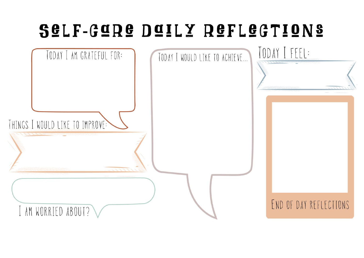## SELF-GORE DOILY REFLEGTIONS

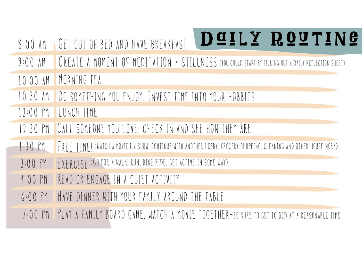| $8:00$ AM | DOILY ROUTING<br>GET OUT OF BED AND HAVE BREAKFAST                                                                |
|-----------|-------------------------------------------------------------------------------------------------------------------|
| $9:00$ AM | CREATE A MOMENT OF MEDITATION + STILLNESS (YOU COULD START BY FILLING OUT A DAILY REFLECTION SHEET)               |
|           | 10:00 AM MORNING TEA                                                                                              |
|           | 10:30 AM DO SOMETHING YOU ENJOY. INVEST TIME INTO YOUR HOBBIES                                                    |
|           | 12:00 PM LUNCH TIME                                                                                               |
|           | 12:30 PM CALL SOMEONE YOU LOVE, CHECK IN AND SEE HOW THEY ARE                                                     |
| $1:30$ PM | FRFF TIMFI (WATCH A MOVIE.T.V SHOW. CONTINUE WITH ANOTHER HOBBY, GROCERY SHOPPING, CLEANING AND OTHER HOUSE WORK) |
|           | 3:00 PM FXFRCISF (GO FOR A WALK, RUN, BIKE RIDE, GET ACTIVE IN SOME WAY)                                          |
| $4:00$ PM | READ OR ENGAGE IN A QUIET ACTIVITY                                                                                |
| $6:00$ PM | HAVE DINNER WITH YOUR FAMILY AROUND THE TABLE                                                                     |
| $7:00$ PM | PLAY A FAMILY BOARD GAME, WATCH A MOVIE TOGETHER-BE SURE TO GET TO BED AT A REASONABL                             |
|           |                                                                                                                   |